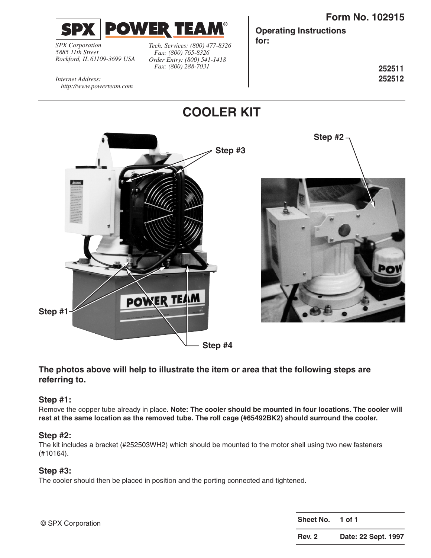



*Internet Address:* 

*SPX Corporation 5885 11th Street Rockford, IL 61109-3699 USA*

*http://www.powerteam.com*

*Tech. Services: (800) 477-8326 Fax: (800) 765-8326 Order Entry: (800) 541-1418 Fax: (800) 288-7031*

**Operating Instructions**

**for:**

®

**252511 252512**

**COOLER KIT Step #2 Step #3 POWER TEAM Step #1 Step #4**

# **The photos above will help to illustrate the item or area that the following steps are referring to.**

# **Step #1:**

Remove the copper tube already in place. **Note: The cooler should be mounted in four locations. The cooler will rest at the same location as the removed tube. The roll cage (#65492BK2) should surround the cooler.**

## **Step #2:**

The kit includes a bracket (#252503WH2) which should be mounted to the motor shell using two new fasteners (#10164).

## **Step #3:**

The cooler should then be placed in position and the porting connected and tightened.

**Sheet No. 1 of 1 Rev. 2 Date: 22 Sept. 1997** © SPX Corporation